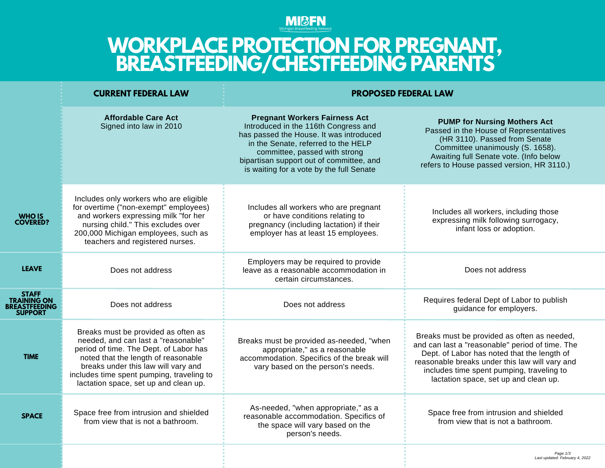

# **WORKPLACE PROTECTION FOR PREGNANT, BREASTFEEDING/CHESTFEEDING PARENTS**

|                                                         | <b>CURRENT FEDERAL LAW</b>                                                                                                                                                                                                                                                               | <b>PROPOSED FEDERAL LAW</b>                                                                                                                                                                                                                                                             |                                                                                                                                                                                                                                                                                       |
|---------------------------------------------------------|------------------------------------------------------------------------------------------------------------------------------------------------------------------------------------------------------------------------------------------------------------------------------------------|-----------------------------------------------------------------------------------------------------------------------------------------------------------------------------------------------------------------------------------------------------------------------------------------|---------------------------------------------------------------------------------------------------------------------------------------------------------------------------------------------------------------------------------------------------------------------------------------|
|                                                         | <b>Affordable Care Act</b><br>Signed into law in 2010                                                                                                                                                                                                                                    | <b>Pregnant Workers Fairness Act</b><br>Introduced in the 116th Congress and<br>has passed the House. It was introduced<br>in the Senate, referred to the HELP<br>committee, passed with strong<br>bipartisan support out of committee, and<br>is waiting for a vote by the full Senate | <b>PUMP for Nursing Mothers Act</b><br>Passed in the House of Representatives<br>(HR 3110). Passed from Senate<br>Committee unanimously (S. 1658).<br>Awaiting full Senate vote. (Info below<br>refers to House passed version, HR 3110.)                                             |
| <b>WHO IS</b><br><b>COVERED?</b>                        | Includes only workers who are eligible<br>for overtime ("non-exempt" employees)<br>and workers expressing milk "for her<br>nursing child." This excludes over<br>200,000 Michigan employees, such as<br>teachers and registered nurses.                                                  | Includes all workers who are pregnant<br>or have conditions relating to<br>pregnancy (including lactation) if their<br>employer has at least 15 employees.                                                                                                                              | Includes all workers, including those<br>expressing milk following surrogacy,<br>infant loss or adoption.                                                                                                                                                                             |
| <b>LEAVE</b>                                            | Does not address                                                                                                                                                                                                                                                                         | Employers may be required to provide<br>leave as a reasonable accommodation in<br>certain circumstances.                                                                                                                                                                                | Does not address                                                                                                                                                                                                                                                                      |
| STAFF<br>TRAINING ON<br>BREASTFEEDING<br><b>SUPPORT</b> | Does not address                                                                                                                                                                                                                                                                         | Does not address                                                                                                                                                                                                                                                                        | Requires federal Dept of Labor to publish<br>guidance for employers.                                                                                                                                                                                                                  |
| <b>TIME</b>                                             | Breaks must be provided as often as<br>needed, and can last a "reasonable"<br>period of time. The Dept. of Labor has<br>noted that the length of reasonable<br>breaks under this law will vary and<br>includes time spent pumping, traveling to<br>lactation space, set up and clean up. | Breaks must be provided as-needed, "when<br>appropriate," as a reasonable<br>accommodation. Specifics of the break will<br>vary based on the person's needs.                                                                                                                            | Breaks must be provided as often as needed,<br>and can last a "reasonable" period of time. The<br>Dept. of Labor has noted that the length of<br>reasonable breaks under this law will vary and<br>includes time spent pumping, traveling to<br>lactation space, set up and clean up. |
| <b>SPACE</b>                                            | Space free from intrusion and shielded<br>from view that is not a bathroom.                                                                                                                                                                                                              | As-needed, "when appropriate," as a<br>reasonable accommodation. Specifics of<br>the space will vary based on the<br>person's needs.                                                                                                                                                    | Space free from intrusion and shielded<br>from view that is not a bathroom.                                                                                                                                                                                                           |
|                                                         |                                                                                                                                                                                                                                                                                          |                                                                                                                                                                                                                                                                                         |                                                                                                                                                                                                                                                                                       |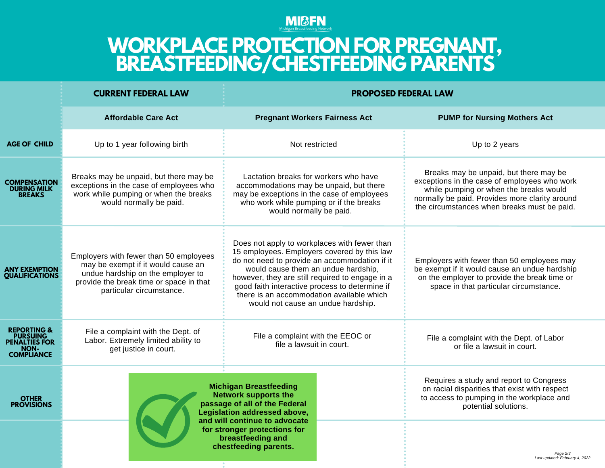

# **WORKPLACE PROTECTION FOR PREGNANT, BREASTFEEDING/CHESTFEEDING PARENTS**

|                                                                                                       | <b>CURRENT FEDERAL LAW</b>                                                                                                                                                               | <b>PROPOSED FEDERAL LAW</b>                                                                                                                                                                                                                                                                                                                                                 |                                                                                                                                                                                                                                   |
|-------------------------------------------------------------------------------------------------------|------------------------------------------------------------------------------------------------------------------------------------------------------------------------------------------|-----------------------------------------------------------------------------------------------------------------------------------------------------------------------------------------------------------------------------------------------------------------------------------------------------------------------------------------------------------------------------|-----------------------------------------------------------------------------------------------------------------------------------------------------------------------------------------------------------------------------------|
|                                                                                                       | <b>Affordable Care Act</b>                                                                                                                                                               | <b>Pregnant Workers Fairness Act</b>                                                                                                                                                                                                                                                                                                                                        | <b>PUMP for Nursing Mothers Act</b>                                                                                                                                                                                               |
| <b>AGE OF CHILD</b>                                                                                   | Up to 1 year following birth                                                                                                                                                             | Not restricted                                                                                                                                                                                                                                                                                                                                                              | Up to 2 years                                                                                                                                                                                                                     |
| <b>COMPENSATION<br/>DURING MILK</b><br><b>BREAKS</b>                                                  | Breaks may be unpaid, but there may be<br>exceptions in the case of employees who<br>work while pumping or when the breaks<br>would normally be paid.                                    | Lactation breaks for workers who have<br>accommodations may be unpaid, but there<br>may be exceptions in the case of employees<br>who work while pumping or if the breaks<br>would normally be paid.                                                                                                                                                                        | Breaks may be unpaid, but there may be<br>exceptions in the case of employees who work<br>while pumping or when the breaks would<br>normally be paid. Provides more clarity around<br>the circumstances when breaks must be paid. |
| <b>ANY EXEMPTION<br/>QUALIFICATIONS</b>                                                               | Employers with fewer than 50 employees<br>may be exempt if it would cause an<br>undue hardship on the employer to<br>provide the break time or space in that<br>particular circumstance. | Does not apply to workplaces with fewer than<br>15 employees. Employers covered by this law<br>do not need to provide an accommodation if it<br>would cause them an undue hardship,<br>however, they are still required to engage in a<br>good faith interactive process to determine if<br>there is an accommodation available which<br>would not cause an undue hardship. | Employers with fewer than 50 employees may<br>be exempt if it would cause an undue hardship<br>on the employer to provide the break time or<br>space in that particular circumstance.                                             |
| <b>REPORTING &amp;</b><br><b>PURSUING</b><br><b>PENALTIES FOR</b><br><b>NON-</b><br><b>COMPLIANCE</b> | File a complaint with the Dept. of<br>Labor. Extremely limited ability to<br>get justice in court.                                                                                       | File a complaint with the EEOC or<br>file a lawsuit in court.                                                                                                                                                                                                                                                                                                               | File a complaint with the Dept. of Labor<br>or file a lawsuit in court.                                                                                                                                                           |
| <b>OTHER<br/>PROVISIONS</b>                                                                           | <b>Michigan Breastfeeding</b><br><b>Network supports the</b><br>passage of all of the Federal<br>Legislation addressed above,<br>and will continue to advocate                           |                                                                                                                                                                                                                                                                                                                                                                             | Requires a study and report to Congress<br>on racial disparities that exist with respect<br>to access to pumping in the workplace and<br>potential solutions.                                                                     |
|                                                                                                       |                                                                                                                                                                                          | for stronger protections for<br>breastfeeding and<br>chestfeeding parents.                                                                                                                                                                                                                                                                                                  | Page 2/3<br>Last updated: February 4, 2022                                                                                                                                                                                        |